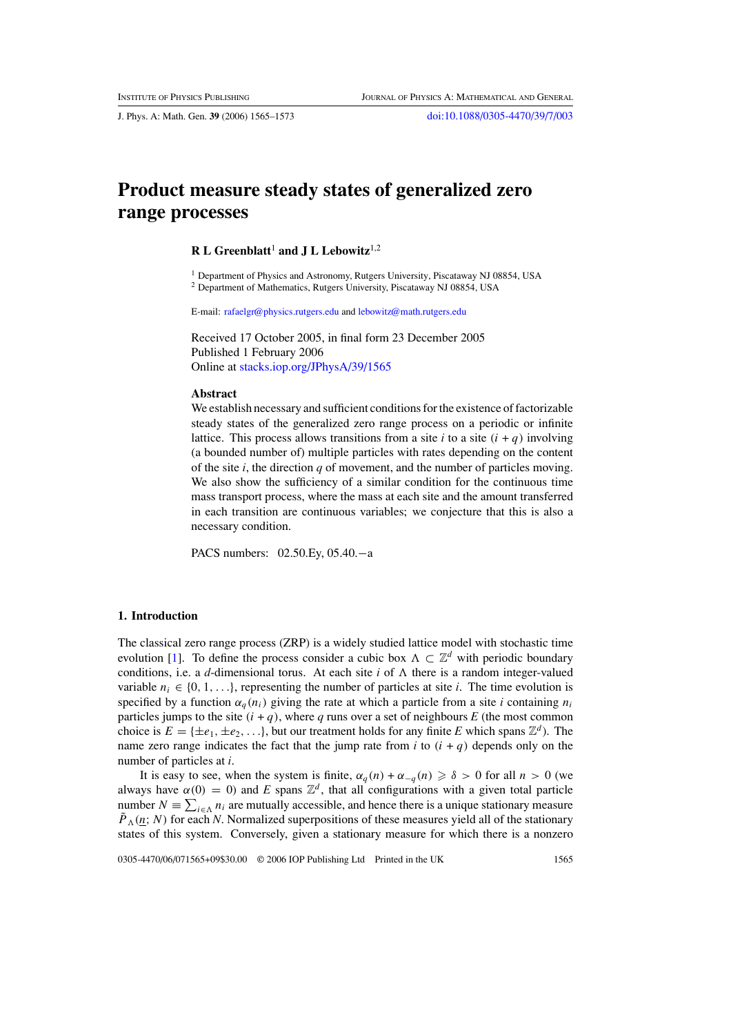# **Product measure steady states of generalized zero range processes**

#### **R L Greenblatt<sup>1</sup> and J L Lebowitz<sup>1,2</sup>**

<sup>1</sup> Department of Physics and Astronomy, Rutgers University, Piscataway NJ 08854, USA <sup>2</sup> Department of Mathematics, Rutgers University, Piscataway NJ 08854, USA

E-mail: [rafaelgr@physics.rutgers.edu](mailto:rafaelgr@physics.rutgers.edu) and [lebowitz@math.rutgers.edu](mailto:lebowitz@math.rutgers.edu)

Received 17 October 2005, in final form 23 December 2005 Published 1 February 2006 Online at [stacks.iop.org/JPhysA/39/1565](http://stacks.iop.org/JPhysA/39/1565)

#### **Abstract**

We establish necessary and sufficient conditions for the existence of factorizable steady states of the generalized zero range process on a periodic or infinite lattice. This process allows transitions from a site *i* to a site  $(i + q)$  involving (a bounded number of) multiple particles with rates depending on the content of the site *i*, the direction *q* of movement, and the number of particles moving. We also show the sufficiency of a similar condition for the continuous time mass transport process, where the mass at each site and the amount transferred in each transition are continuous variables; we conjecture that this is also a necessary condition.

PACS numbers: 02.50.Ey, 05.40.−a

## **1. Introduction**

The classical zero range process (ZRP) is a widely studied lattice model with stochastic time evolution [\[1\]](#page-7-0). To define the process consider a cubic box  $\Lambda \subset \mathbb{Z}^d$  with periodic boundary conditions, i.e. a *d*-dimensional torus. At each site *i* of  $\Lambda$  there is a random integer-valued variable  $n_i \in \{0, 1, \ldots\}$ , representing the number of particles at site *i*. The time evolution is specified by a function  $\alpha_a(n_i)$  giving the rate at which a particle from a site *i* containing  $n_i$ particles jumps to the site  $(i + q)$ , where *q* runs over a set of neighbours *E* (the most common choice is  $E = \{\pm e_1, \pm e_2, \ldots\}$ , but our treatment holds for any finite *E* which spans  $\mathbb{Z}^d$ ). The name zero range indicates the fact that the jump rate from *i* to  $(i + q)$  depends only on the number of particles at *i*.

It is easy to see, when the system is finite,  $\alpha_q(n) + \alpha_{-q}(n) \geq \delta > 0$  for all  $n > 0$  (we always have  $\alpha(0) = 0$  and *E* spans  $\mathbb{Z}^d$ , that all configurations with a given total particle number  $N = \sum_{i \in \Lambda} n_i$  are mutually accessible, and hence there is a unique stationary measure  $\tilde{P}_\Lambda(n; N)$  for each *N*. Normalized superpositions of these measures yield all of the stationary states of this system. Conversely, given a stationary measure for which there is a nonzero

0305-4470/06/071565+09\$30.00 © 2006 IOP Publishing Ltd Printed in the UK 1565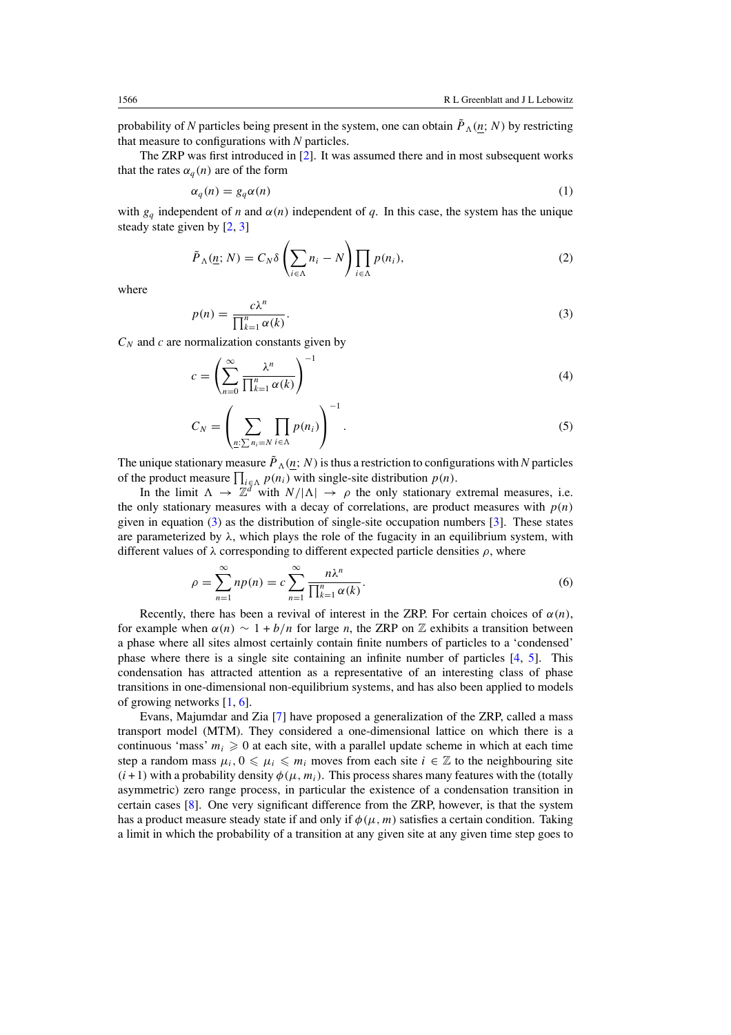<span id="page-1-0"></span>probability of *N* particles being present in the system, one can obtain  $\tilde{P}_\Lambda(n; N)$  by restricting that measure to configurations with *N* particles.

The ZRP was first introduced in [\[2\]](#page-7-0). It was assumed there and in most subsequent works that the rates  $\alpha_a(n)$  are of the form

$$
\alpha_q(n) = g_q \alpha(n) \tag{1}
$$

with  $g_a$  independent of *n* and  $\alpha(n)$  independent of *q*. In this case, the system has the unique steady state given by [\[2,](#page-7-0) [3\]](#page-7-0)

$$
\tilde{P}_{\Lambda}(\underline{n};N) = C_N \delta \left(\sum_{i \in \Lambda} n_i - N\right) \prod_{i \in \Lambda} p(n_i),\tag{2}
$$

where

$$
p(n) = \frac{c\lambda^n}{\prod_{k=1}^n \alpha(k)}.
$$
\n(3)

 $C_N$  and  $c$  are normalization constants given by

$$
c = \left(\sum_{n=0}^{\infty} \frac{\lambda^n}{\prod_{k=1}^n \alpha(k)}\right)^{-1}
$$
 (4)

$$
C_N = \left(\sum_{\underline{n}: \sum n_i = N} \prod_{i \in \Lambda} p(n_i)\right)^{-1}.\tag{5}
$$

The unique stationary measure  $\tilde{P}_\Lambda(n; N)$  is thus a restriction to configurations with *N* particles of the product measure  $\prod_{i \in \Lambda} p(n_i)$  with single-site distribution  $p(n)$ .

In the limit  $\Lambda \to \mathbb{Z}^d$  with  $N/|\Lambda| \to \rho$  the only stationary extremal measures, i.e. the only stationary measures with a decay of correlations, are product measures with  $p(n)$ given in equation (3) as the distribution of single-site occupation numbers [\[3\]](#page-7-0). These states are parameterized by  $\lambda$ , which plays the role of the fugacity in an equilibrium system, with different values of  $\lambda$  corresponding to different expected particle densities  $\rho$ , where

$$
\rho = \sum_{n=1}^{\infty} n p(n) = c \sum_{n=1}^{\infty} \frac{n \lambda^n}{\prod_{k=1}^n \alpha(k)}.
$$
\n(6)

Recently, there has been a revival of interest in the ZRP. For certain choices of  $\alpha(n)$ , for example when  $\alpha(n) \sim 1 + b/n$  for large *n*, the ZRP on Z exhibits a transition between a phase where all sites almost certainly contain finite numbers of particles to a 'condensed' phase where there is a single site containing an infinite number of particles [\[4](#page-7-0), [5](#page-8-0)]. This condensation has attracted attention as a representative of an interesting class of phase transitions in one-dimensional non-equilibrium systems, and has also been applied to models of growing networks [\[1](#page-7-0), [6](#page-8-0)].

Evans, Majumdar and Zia [\[7\]](#page-8-0) have proposed a generalization of the ZRP, called a mass transport model (MTM). They considered a one-dimensional lattice on which there is a continuous 'mass'  $m_i \geq 0$  at each site, with a parallel update scheme in which at each time step a random mass  $\mu_i$ ,  $0 \le \mu_i \le m_i$  moves from each site  $i \in \mathbb{Z}$  to the neighbouring site  $(i+1)$  with a probability density  $\phi(\mu, m_i)$ . This process shares many features with the (totally asymmetric) zero range process, in particular the existence of a condensation transition in certain cases [\[8](#page-8-0)]. One very significant difference from the ZRP, however, is that the system has a product measure steady state if and only if  $\phi(\mu, m)$  satisfies a certain condition. Taking a limit in which the probability of a transition at any given site at any given time step goes to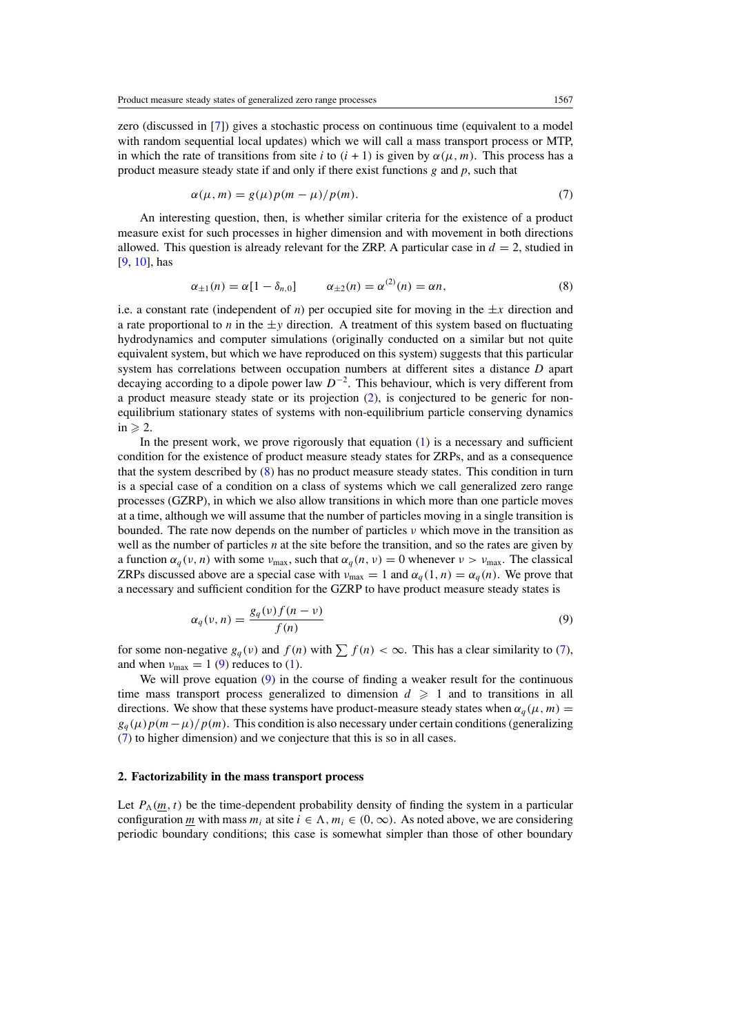<span id="page-2-0"></span>zero (discussed in [\[7\]](#page-8-0)) gives a stochastic process on continuous time (equivalent to a model with random sequential local updates) which we will call a mass transport process or MTP, in which the rate of transitions from site *i* to  $(i + 1)$  is given by  $\alpha(\mu, m)$ . This process has a product measure steady state if and only if there exist functions *g* and *p*, such that

$$
\alpha(\mu, m) = g(\mu)p(m - \mu)/p(m). \tag{7}
$$

An interesting question, then, is whether similar criteria for the existence of a product measure exist for such processes in higher dimension and with movement in both directions allowed. This question is already relevant for the ZRP. A particular case in  $d = 2$ , studied in [\[9](#page-8-0), [10](#page-8-0)], has

$$
\alpha_{\pm 1}(n) = \alpha [1 - \delta_{n,0}] \qquad \alpha_{\pm 2}(n) = \alpha^{(2)}(n) = \alpha n, \tag{8}
$$

i.e. a constant rate (independent of *n*) per occupied site for moving in the  $\pm x$  direction and a rate proportional to *n* in the  $\pm y$  direction. A treatment of this system based on fluctuating hydrodynamics and computer simulations (originally conducted on a similar but not quite equivalent system, but which we have reproduced on this system) suggests that this particular system has correlations between occupation numbers at different sites a distance *D* apart decaying according to a dipole power law *D*<sup>−</sup>2. This behaviour, which is very different from a product measure steady state or its projection [\(2\)](#page-1-0), is conjectured to be generic for nonequilibrium stationary states of systems with non-equilibrium particle conserving dynamics  $in \ge 2$ .

In the present work, we prove rigorously that equation  $(1)$  is a necessary and sufficient condition for the existence of product measure steady states for ZRPs, and as a consequence that the system described by (8) has no product measure steady states. This condition in turn is a special case of a condition on a class of systems which we call generalized zero range processes (GZRP), in which we also allow transitions in which more than one particle moves at a time, although we will assume that the number of particles moving in a single transition is bounded. The rate now depends on the number of particles *ν* which move in the transition as well as the number of particles *n* at the site before the transition, and so the rates are given by a function  $\alpha_q(v, n)$  with some  $\nu_{\text{max}}$ , such that  $\alpha_q(n, v) = 0$  whenever  $\nu > \nu_{\text{max}}$ . The classical ZRPs discussed above are a special case with  $v_{\text{max}} = 1$  and  $\alpha_q(1, n) = \alpha_q(n)$ . We prove that a necessary and sufficient condition for the GZRP to have product measure steady states is

$$
\alpha_q(\nu, n) = \frac{g_q(\nu) f(n - \nu)}{f(n)}\tag{9}
$$

for some non-negative  $g_q(v)$  and  $f(n)$  with  $\sum f(n) < \infty$ . This has a clear similarity to (7), and when  $v_{\text{max}} = 1$  (9) reduces to [\(1\)](#page-1-0).

We will prove equation (9) in the course of finding a weaker result for the continuous time mass transport process generalized to dimension  $d \geq 1$  and to transitions in all directions. We show that these systems have product-measure steady states when  $\alpha_a(\mu, m)$  =  $g_a(\mu)p(m-\mu)/p(m)$ . This condition is also necessary under certain conditions (generalizing (7) to higher dimension) and we conjecture that this is so in all cases.

#### **2. Factorizability in the mass transport process**

Let  $P_{\Lambda}(m, t)$  be the time-dependent probability density of finding the system in a particular configuration *m* with mass  $m_i$  at site  $i \in \Lambda$ ,  $m_i \in (0, \infty)$ . As noted above, we are considering periodic boundary conditions; this case is somewhat simpler than those of other boundary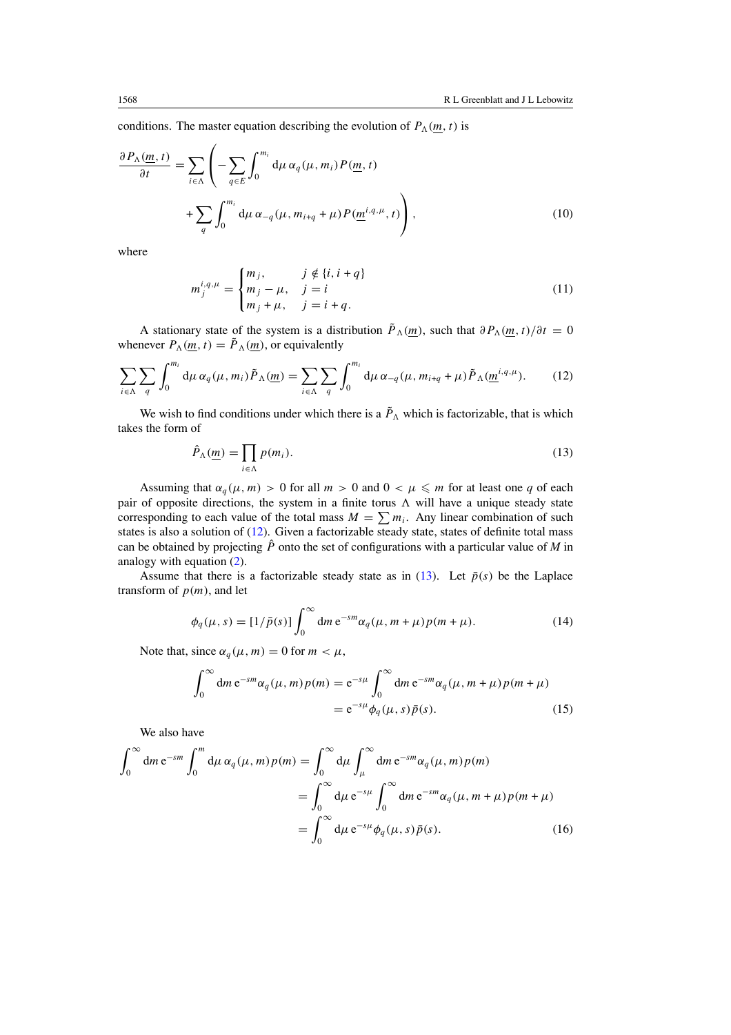<span id="page-3-0"></span>conditions. The master equation describing the evolution of  $P_{\Lambda}(m, t)$  is

$$
\frac{\partial P_{\Lambda}(m,t)}{\partial t} = \sum_{i \in \Lambda} \left( -\sum_{q \in E} \int_0^{m_i} d\mu \, \alpha_q(\mu, m_i) P(\underline{m}, t) + \sum_q \int_0^{m_i} d\mu \, \alpha_{-q}(\mu, m_{i+q} + \mu) P(\underline{m}^{i,q,\mu}, t) \right),\tag{10}
$$

where

$$
m_j^{i,q,\mu} = \begin{cases} m_j, & j \notin \{i, i + q\} \\ m_j - \mu, & j = i \\ m_j + \mu, & j = i + q. \end{cases}
$$
(11)

A stationary state of the system is a distribution  $\tilde{P}_\Lambda(m)$ , such that  $\partial P_\Lambda(m, t)/\partial t = 0$ whenever  $P_{\Lambda}(m, t) = \tilde{P}_{\Lambda}(m)$ , or equivalently

$$
\sum_{i\in\Lambda}\sum_{q}\int_{0}^{m_i}d\mu\,\alpha_q(\mu,m_i)\tilde{P}_{\Lambda}(\underline{m})=\sum_{i\in\Lambda}\sum_{q}\int_{0}^{m_i}d\mu\,\alpha_{-q}(\mu,m_{i+q}+\mu)\tilde{P}_{\Lambda}(\underline{m}^{i,q,\mu}).\tag{12}
$$

We wish to find conditions under which there is a  $\tilde{P}_{\Lambda}$  which is factorizable, that is which takes the form of

$$
\hat{P}_{\Lambda}(\underline{m}) = \prod_{i \in \Lambda} p(m_i). \tag{13}
$$

Assuming that  $\alpha_q(\mu, m) > 0$  for all  $m > 0$  and  $0 < \mu \leq m$  for at least one q of each pair of opposite directions, the system in a finite torus  $\Lambda$  will have a unique steady state corresponding to each value of the total mass  $M = \sum m_i$ . Any linear combination of such states is also a solution of (12). Given a factorizable steady state, states of definite total mass can be obtained by projecting  $\hat{P}$  onto the set of configurations with a particular value of *M* in analogy with equation [\(2\)](#page-1-0).

Assume that there is a factorizable steady state as in (13). Let  $\bar{p}(s)$  be the Laplace transform of  $p(m)$ , and let

$$
\phi_q(\mu, s) = [1/\bar{p}(s)] \int_0^\infty dm \, e^{-sm} \alpha_q(\mu, m + \mu) p(m + \mu). \tag{14}
$$

Note that, since  $\alpha_q(\mu, m) = 0$  for  $m < \mu$ ,

$$
\int_0^\infty dm e^{-sm} \alpha_q(\mu, m) p(m) = e^{-s\mu} \int_0^\infty dm e^{-sm} \alpha_q(\mu, m + \mu) p(m + \mu)
$$
  
=  $e^{-s\mu} \phi_q(\mu, s) \bar{p}(s).$  (15)

We also have

$$
\int_0^\infty dm e^{-sm} \int_0^m d\mu \, \alpha_q(\mu, m) p(m) = \int_0^\infty d\mu \int_\mu^\infty dm e^{-sm} \alpha_q(\mu, m) p(m)
$$
  
= 
$$
\int_0^\infty d\mu e^{-s\mu} \int_0^\infty dm e^{-sm} \alpha_q(\mu, m + \mu) p(m + \mu)
$$
  
= 
$$
\int_0^\infty d\mu e^{-s\mu} \phi_q(\mu, s) \bar{p}(s).
$$
 (16)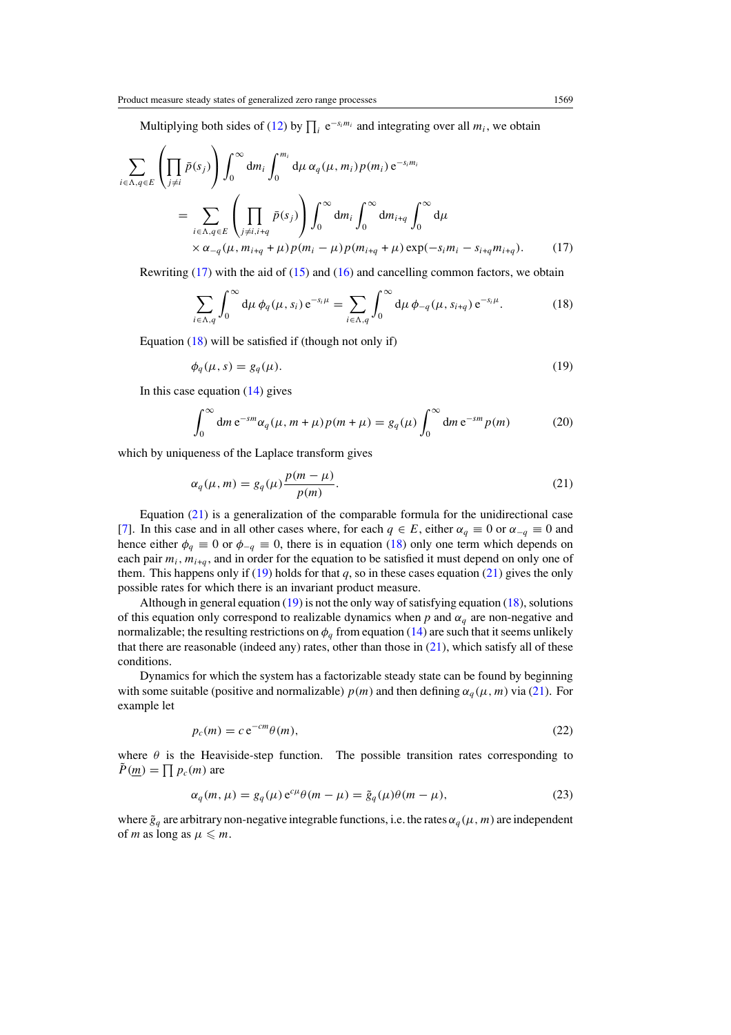<span id="page-4-0"></span>Multiplying both sides of [\(12\)](#page-3-0) by  $\prod_i e^{-s_i m_i}$  and integrating over all  $m_i$ , we obtain

$$
\sum_{i \in \Lambda, q \in E} \left( \prod_{j \neq i} \bar{p}(s_j) \right) \int_0^\infty dm_i \int_0^{m_i} d\mu \, \alpha_q(\mu, m_i) p(m_i) e^{-s_i m_i}
$$
\n
$$
= \sum_{i \in \Lambda, q \in E} \left( \prod_{j \neq i, i+q} \bar{p}(s_j) \right) \int_0^\infty dm_i \int_0^\infty dm_{i+q} \int_0^\infty d\mu
$$
\n
$$
\times \alpha_{-q}(\mu, m_{i+q} + \mu) p(m_i - \mu) p(m_{i+q} + \mu) \exp(-s_i m_i - s_{i+q} m_{i+q}). \tag{17}
$$

Rewriting  $(17)$  with the aid of  $(15)$  and  $(16)$  and cancelling common factors, we obtain

$$
\sum_{i \in \Lambda, q} \int_0^\infty d\mu \, \phi_q(\mu, s_i) \, e^{-s_i \mu} = \sum_{i \in \Lambda, q} \int_0^\infty d\mu \, \phi_{-q}(\mu, s_{i+q}) \, e^{-s_i \mu}.
$$
 (18)

Equation  $(18)$  will be satisfied if (though not only if)

$$
\phi_q(\mu, s) = g_q(\mu). \tag{19}
$$

In this case equation  $(14)$  gives

$$
\int_0^\infty dm e^{-sm} \alpha_q(\mu, m + \mu) p(m + \mu) = g_q(\mu) \int_0^\infty dm e^{-sm} p(m) \tag{20}
$$

which by uniqueness of the Laplace transform gives

$$
\alpha_q(\mu, m) = g_q(\mu) \frac{p(m - \mu)}{p(m)}.
$$
\n(21)

Equation (21) is a generalization of the comparable formula for the unidirectional case [\[7](#page-8-0)]. In this case and in all other cases where, for each  $q \in E$ , either  $\alpha_q \equiv 0$  or  $\alpha_{-q} \equiv 0$  and hence either  $\phi_q \equiv 0$  or  $\phi_{-q} \equiv 0$ , there is in equation (18) only one term which depends on each pair  $m_i$ ,  $m_{i+a}$ , and in order for the equation to be satisfied it must depend on only one of them. This happens only if (19) holds for that  $q$ , so in these cases equation (21) gives the only possible rates for which there is an invariant product measure.

Although in general equation (19) is not the only way of satisfying equation (18), solutions of this equation only correspond to realizable dynamics when  $p$  and  $\alpha_q$  are non-negative and normalizable; the resulting restrictions on  $\phi_q$  from equation [\(14\)](#page-3-0) are such that it seems unlikely that there are reasonable (indeed any) rates, other than those in  $(21)$ , which satisfy all of these conditions.

Dynamics for which the system has a factorizable steady state can be found by beginning with some suitable (positive and normalizable)  $p(m)$  and then defining  $\alpha_q(\mu, m)$  via (21). For example let

$$
p_c(m) = c e^{-cm}\theta(m),\tag{22}
$$

where  $\theta$  is the Heaviside-step function. The possible transition rates corresponding to  $\tilde{P}(\underline{m}) = \prod p_c(m)$  are

$$
\alpha_q(m,\mu) = g_q(\mu) e^{c\mu} \theta(m-\mu) = \tilde{g}_q(\mu) \theta(m-\mu), \qquad (23)
$$

where  $\tilde{g}_q$  are arbitrary non-negative integrable functions, i.e. the rates  $\alpha_q(\mu, m)$  are independent of *m* as long as  $\mu \leq m$ .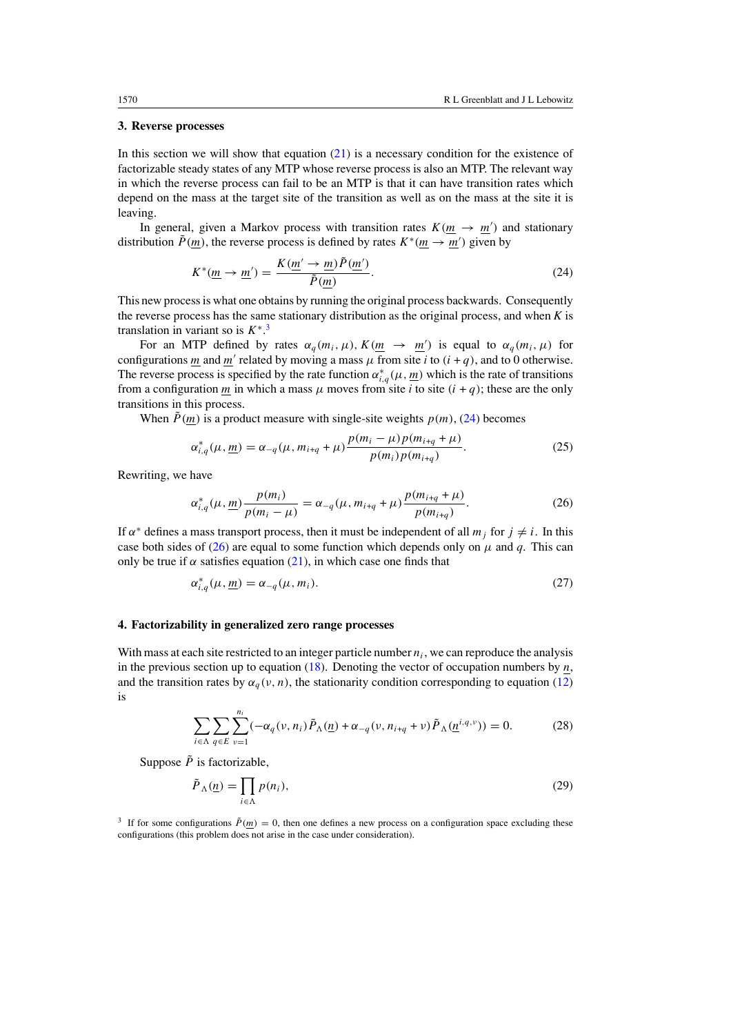#### <span id="page-5-0"></span>**3. Reverse processes**

In this section we will show that equation  $(21)$  is a necessary condition for the existence of factorizable steady states of any MTP whose reverse process is also an MTP. The relevant way in which the reverse process can fail to be an MTP is that it can have transition rates which depend on the mass at the target site of the transition as well as on the mass at the site it is leaving.

In general, given a Markov process with transition rates  $K(m \rightarrow m')$  and stationary distribution  $\tilde{P}(m)$ , the reverse process is defined by rates  $K^*(m \to m')$  given by

$$
K^*(\underline{m} \to \underline{m}') = \frac{K(\underline{m}' \to \underline{m})\tilde{P}(\underline{m}')}{\tilde{P}(\underline{m})}.
$$
\n(24)

This new process is what one obtains by running the original process backwards. Consequently the reverse process has the same stationary distribution as the original process, and when *K* is translation in variant so is  $K^*$ <sup>3</sup>

For an MTP defined by rates  $\alpha_q(m_i, \mu)$ ,  $K(\underline{m} \rightarrow \underline{m}')$  is equal to  $\alpha_q(m_i, \mu)$  for configurations  $\underline{m}$  and  $\underline{m}'$  related by moving a mass  $\mu$  from site *i* to  $(i + q)$ , and to 0 otherwise. The reverse process is specified by the rate function  $\alpha_{i,q}^*(\mu, \underline{m})$  which is the rate of transitions from a configuration *m* in which a mass  $\mu$  moves from site *i* to site  $(i + q)$ ; these are the only transitions in this process.

When  $\tilde{P}(m)$  is a product measure with single-site weights  $p(m)$ , (24) becomes

$$
\alpha_{i,q}^*(\mu, \underline{m}) = \alpha_{-q}(\mu, m_{i+q} + \mu) \frac{p(m_i - \mu)p(m_{i+q} + \mu)}{p(m_i)p(m_{i+q})}.
$$
\n(25)

Rewriting, we have

$$
\alpha_{i,q}^*(\mu, \underline{m}) \frac{p(m_i)}{p(m_i - \mu)} = \alpha_{-q}(\mu, m_{i+q} + \mu) \frac{p(m_{i+q} + \mu)}{p(m_{i+q})}.
$$
 (26)

If  $\alpha^*$  defines a mass transport process, then it must be independent of all  $m_i$  for  $j \neq i$ . In this case both sides of (26) are equal to some function which depends only on  $\mu$  and  $q$ . This can only be true if  $\alpha$  satisfies equation [\(21\)](#page-4-0), in which case one finds that

$$
\alpha_{i,q}^*(\mu, \underline{m}) = \alpha_{-q}(\mu, m_i). \tag{27}
$$

# **4. Factorizability in generalized zero range processes**

With mass at each site restricted to an integer particle number  $n_i$ , we can reproduce the analysis in the previous section up to equation  $(18)$ . Denoting the vector of occupation numbers by *n*, and the transition rates by  $\alpha_a(v, n)$ , the stationarity condition corresponding to equation [\(12\)](#page-3-0) is

$$
\sum_{i \in \Lambda} \sum_{q \in E} \sum_{v=1}^{n_i} (-\alpha_q(v, n_i) \tilde{P}_{\Lambda}(\underline{n}) + \alpha_{-q}(v, n_{i+q} + v) \tilde{P}_{\Lambda}(\underline{n}^{i,q,v})) = 0.
$$
 (28)

Suppose  $\tilde{P}$  is factorizable.

$$
\tilde{P}_{\Lambda}(\underline{n}) = \prod_{i \in \Lambda} p(n_i),\tag{29}
$$

<sup>3</sup> If for some configurations  $\tilde{P}(m) = 0$ , then one defines a new process on a configuration space excluding these configurations (this problem does not arise in the case under consideration).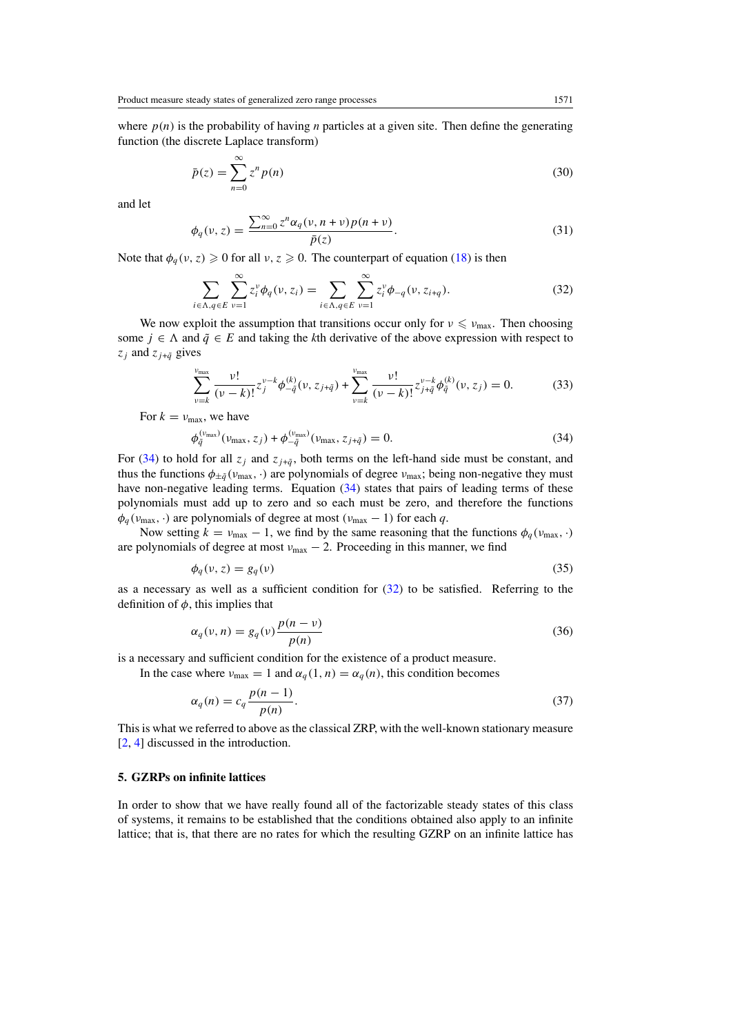<span id="page-6-0"></span>where  $p(n)$  is the probability of having *n* particles at a given site. Then define the generating function (the discrete Laplace transform)

$$
\bar{p}(z) = \sum_{n=0}^{\infty} z^n p(n)
$$
\n(30)

and let

$$
\phi_q(\nu, z) = \frac{\sum_{n=0}^{\infty} z^n \alpha_q(\nu, n + \nu) p(n + \nu)}{\bar{p}(z)}.
$$
\n(31)

Note that  $\phi_q(v, z) \geq 0$  for all  $v, z \geq 0$ . The counterpart of equation [\(18\)](#page-4-0) is then

$$
\sum_{i \in \Lambda, q \in E} \sum_{v=1}^{\infty} z_i^v \phi_q(v, z_i) = \sum_{i \in \Lambda, q \in E} \sum_{v=1}^{\infty} z_i^v \phi_{-q}(v, z_{i+q}). \tag{32}
$$

We now exploit the assumption that transitions occur only for  $\nu \le \nu_{\text{max}}$ . Then choosing some  $j \in \Lambda$  and  $\tilde{q} \in E$  and taking the *k*th derivative of the above expression with respect to  $z_j$  and  $z_{j+\tilde{q}}$  gives

$$
\sum_{\nu=k}^{\nu_{\text{max}}} \frac{\nu!}{(\nu-k)!} z_j^{\nu-k} \phi_{-\tilde{q}}^{(k)}(\nu, z_{j+\tilde{q}}) + \sum_{\nu=k}^{\nu_{\text{max}}} \frac{\nu!}{(\nu-k)!} z_{j+\tilde{q}}^{\nu-k} \phi_{\tilde{q}}^{(k)}(\nu, z_j) = 0.
$$
 (33)

For  $k = v_{\text{max}}$ , we have

$$
\phi_{\tilde{q}}^{(\nu_{\max})}(\nu_{\max}, z_j) + \phi_{-\tilde{q}}^{(\nu_{\max})}(\nu_{\max}, z_{j+\tilde{q}}) = 0.
$$
\n(34)

For (34) to hold for all  $z_j$  and  $z_{j+\tilde{q}}$ , both terms on the left-hand side must be constant, and thus the functions  $\phi_{\pm\tilde{q}}(v_{\text{max}},\cdot)$  are polynomials of degree  $v_{\text{max}}$ ; being non-negative they must have non-negative leading terms. Equation (34) states that pairs of leading terms of these polynomials must add up to zero and so each must be zero, and therefore the functions  $\phi_q(\nu_{\text{max}}, \cdot)$  are polynomials of degree at most  $(\nu_{\text{max}} - 1)$  for each *q*.

Now setting  $k = v_{\text{max}} - 1$ , we find by the same reasoning that the functions  $\phi_q(v_{\text{max}}, \cdot)$ are polynomials of degree at most  $v_{\text{max}} - 2$ . Proceeding in this manner, we find

$$
\phi_q(\nu, z) = g_q(\nu) \tag{35}
$$

as a necessary as well as a sufficient condition for  $(32)$  to be satisfied. Referring to the definition of  $\phi$ , this implies that

$$
\alpha_q(\nu, n) = g_q(\nu) \frac{p(n - \nu)}{p(n)}\tag{36}
$$

is a necessary and sufficient condition for the existence of a product measure.

In the case where  $v_{\text{max}} = 1$  and  $\alpha_q(1, n) = \alpha_q(n)$ , this condition becomes

$$
\alpha_q(n) = c_q \frac{p(n-1)}{p(n)}.\tag{37}
$$

This is what we referred to above as the classical ZRP, with the well-known stationary measure [\[2](#page-7-0), [4](#page-7-0)] discussed in the introduction.

## **5. GZRPs on infinite lattices**

In order to show that we have really found all of the factorizable steady states of this class of systems, it remains to be established that the conditions obtained also apply to an infinite lattice; that is, that there are no rates for which the resulting GZRP on an infinite lattice has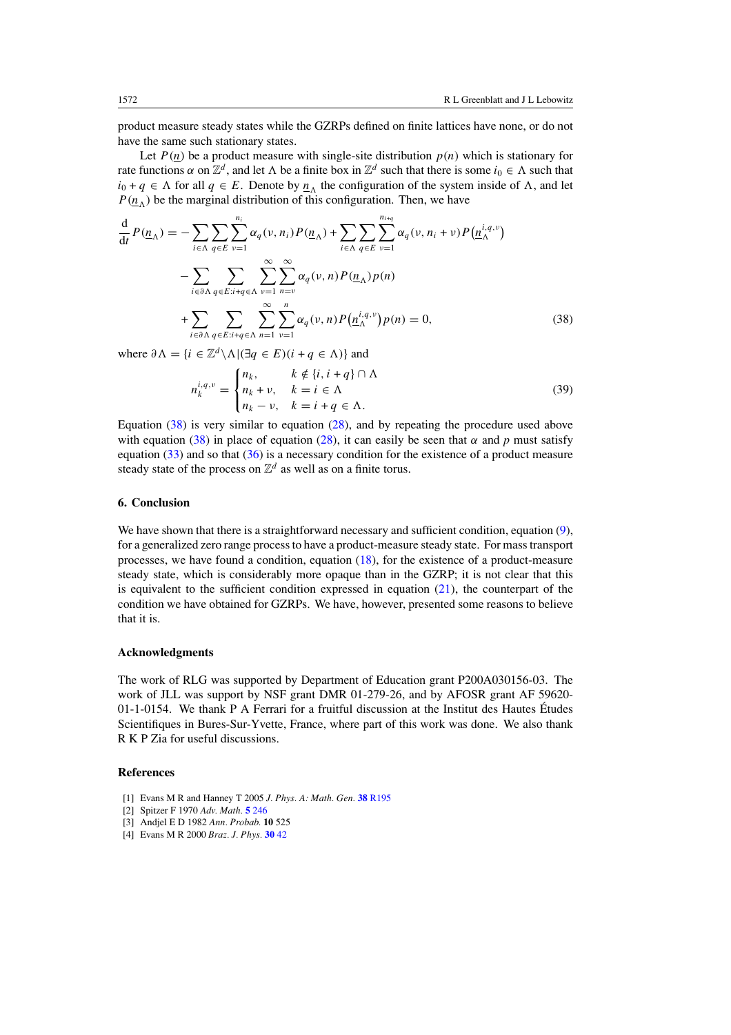<span id="page-7-0"></span>product measure steady states while the GZRPs defined on finite lattices have none, or do not have the same such stationary states.

Let  $P(n)$  be a product measure with single-site distribution  $p(n)$  which is stationary for rate functions  $\alpha$  on  $\mathbb{Z}^d$ , and let  $\Lambda$  be a finite box in  $\mathbb{Z}^d$  such that there is some  $i_0 \in \Lambda$  such that  $i_0 + q \in \Lambda$  for all  $q \in E$ . Denote by  $n_{\Lambda}$  the configuration of the system inside of  $\Lambda$ , and let  $P(n_A)$  be the marginal distribution of this configuration. Then, we have

$$
\frac{d}{dt}P(\underline{n}_{\Lambda}) = -\sum_{i \in \Lambda} \sum_{q \in E} \sum_{\nu=1}^{n_i} \alpha_q(\nu, n_i) P(\underline{n}_{\Lambda}) + \sum_{i \in \Lambda} \sum_{q \in E} \sum_{\nu=1}^{n_{i+q}} \alpha_q(\nu, n_i + \nu) P(\underline{n}_{\Lambda}^{i,q,\nu})
$$

$$
-\sum_{i \in \partial \Lambda} \sum_{q \in E: i+q \in \Lambda} \sum_{\nu=1}^{\infty} \sum_{n=\nu}^{\infty} \alpha_q(\nu, n) P(\underline{n}_{\Lambda}) p(n)
$$

$$
+\sum_{i \in \partial \Lambda} \sum_{q \in E: i+q \in \Lambda} \sum_{n=1}^{\infty} \sum_{\nu=1}^{n} \alpha_q(\nu, n) P(\underline{n}_{\Lambda}^{i,q,\nu}) p(n) = 0,
$$
(38)

where  $\partial \Lambda = \{i \in \mathbb{Z}^d \setminus \Lambda | (\exists q \in E)(i + q \in \Lambda) \}$  and

$$
n_k^{i,q,\nu} = \begin{cases} n_k, & k \notin \{i, i + q\} \cap \Lambda \\ n_k + \nu, & k = i \in \Lambda \\ n_k - \nu, & k = i + q \in \Lambda. \end{cases}
$$
 (39)

Equation (38) is very similar to equation [\(28\)](#page-5-0), and by repeating the procedure used above with equation (38) in place of equation [\(28\)](#page-5-0), it can easily be seen that  $\alpha$  and  $p$  must satisfy equation  $(33)$  and so that  $(36)$  is a necessary condition for the existence of a product measure steady state of the process on  $\mathbb{Z}^d$  as well as on a finite torus.

#### **6. Conclusion**

We have shown that there is a straightforward necessary and sufficient condition, equation  $(9)$ , for a generalized zero range process to have a product-measure steady state. For mass transport processes, we have found a condition, equation [\(18\)](#page-4-0), for the existence of a product-measure steady state, which is considerably more opaque than in the GZRP; it is not clear that this is equivalent to the sufficient condition expressed in equation  $(21)$ , the counterpart of the condition we have obtained for GZRPs. We have, however, presented some reasons to believe that it is.

# **Acknowledgments**

The work of RLG was supported by Department of Education grant P200A030156-03. The work of JLL was support by NSF grant DMR 01-279-26, and by AFOSR grant AF 59620-  $01$ -1-0154. We thank P A Ferrari for a fruitful discussion at the Institut des Hautes Études Scientifiques in Bures-Sur-Yvette, France, where part of this work was done. We also thank R K P Zia for useful discussions.

## **References**

- [1] Evans M R and Hanney T 2005 *J. Phys. A: Math. Gen.* **38** [R195](http://dx.doi.org/10.1088/0305-4470/38/19/R01)
- [2] Spitzer F 1970 *Adv. Math.* **5** [246](http://dx.doi.org/10.1016/0001-8708(70)90034-4)
- [3] Andjel E D 1982 *Ann. Probab.* **10** 525
- [4] Evans M R 2000 *Braz. J. Phys.* **[30](http://dx.doi.org/10.1590/S0103-97332000000100005)** 42